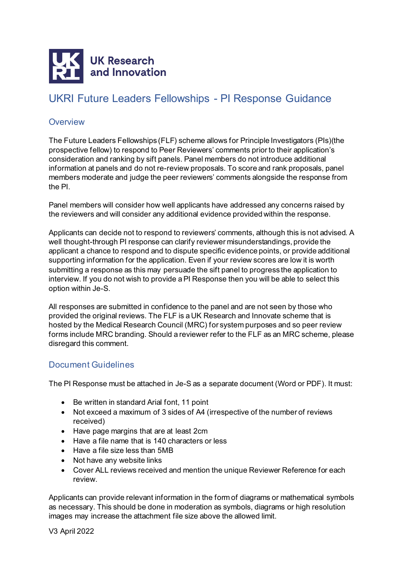

## UKRI Future Leaders Fellowships - PI Response Guidance

## **Overview**

The Future Leaders Fellowships (FLF) scheme allows for Principle Investigators (PIs)(the prospective fellow) to respond to Peer Reviewers' comments prior to their application's consideration and ranking by sift panels. Panel members do not introduce additional information at panels and do not re-review proposals. To score and rank proposals, panel members moderate and judge the peer reviewers' comments alongside the response from the PI.

Panel members will consider how well applicants have addressed any concerns raised by the reviewers and will consider any additional evidence provided within the response.

Applicants can decide not to respond to reviewers' comments, although this is not advised. A well thought-through PI response can clarify reviewer misunderstandings, provide the applicant a chance to respond and to dispute specific evidence points, or provide additional supporting information for the application. Even if your review scores are low it is worth submitting a response as this may persuade the sift panel to progress the application to interview. If you do not wish to provide a PI Response then you will be able to select this option within Je-S.

All responses are submitted in confidence to the panel and are not seen by those who provided the original reviews. The FLF is a UK Research and Innovate scheme that is hosted by the Medical Research Council (MRC) for system purposes and so peer review forms include MRC branding. Should a reviewer refer to the FLF as an MRC scheme, please disregard this comment.

## Document Guidelines

The PI Response must be attached in Je-S as a separate document (Word or PDF). It must:

- Be written in standard Arial font, 11 point
- Not exceed a maximum of 3 sides of A4 (irrespective of the number of reviews received)
- Have page margins that are at least 2cm
- Have a file name that is 140 characters or less
- Have a file size less than 5MB
- Not have any website links
- Cover ALL reviews received and mention the unique Reviewer Reference for each review.

Applicants can provide relevant information in the form of diagrams or mathematical symbols as necessary. This should be done in moderation as symbols, diagrams or high resolution images may increase the attachment file size above the allowed limit.

V3 April 2022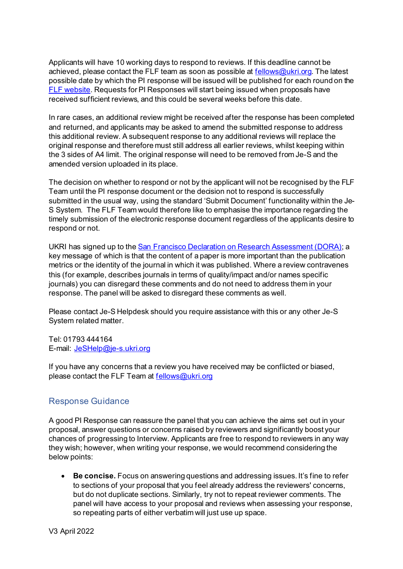Applicants will have 10 working days to respond to reviews. If this deadline cannot be achieved, please contact the FLF team as soon as possible at [fellows@ukri.org](mailto:fellows@ukri.org). The latest possible date by which the PI response will be issued will be published for each round on the [FLF website.](https://www.ukri.org/funding/funding-opportunities/future-leaders-fellowships/how-to-apply/) Requests for PI Responses will start being issued when proposals have received sufficient reviews, and this could be several weeks before this date.

In rare cases, an additional review might be received after the response has been completed and returned, and applicants may be asked to amend the submitted response to address this additional review. A subsequent response to any additional reviews will replace the original response and therefore must still address all earlier reviews, whilst keeping within the 3 sides of A4 limit. The original response will need to be removed from Je-S and the amended version uploaded in its place.

The decision on whether to respond or not by the applicant will not be recognised by the FLF Team until the PI response document or the decision not to respond is successfully submitted in the usual way, using the standard 'Submit Document' functionality within the Je-S System. The FLF Team would therefore like to emphasise the importance regarding the timely submission of the electronic response document regardless of the applicants desire to respond or not.

UKRI has signed up to th[e San Francisco Declaration on Research Assessment \(DORA\);](https://sfdora.org/read/) a key message of which is that the content of a paper is more important than the publication metrics or the identity of the journal in which it was published. Where a review contravenes this (for example, describes journals in terms of quality/impact and/or names specific journals) you can disregard these comments and do not need to address them in your response. The panel will be asked to disregard these comments as well.

Please contact Je-S Helpdesk should you require assistance with this or any other Je-S System related matter.

Tel: 01793 444164 E-mail: [JeSHelp@je-s.ukri.org](mailto:JeSHelp@je-s.ukri.org)

If you have any concerns that a review you have received may be conflicted or biased, please contact the FLF Team at [fellows@ukri.org](mailto:fellows@ukri.org)

## Response Guidance

A good PI Response can reassure the panel that you can achieve the aims set out in your proposal, answer questions or concerns raised by reviewers and significantly boost your chances of progressing to Interview. Applicants are free to respond to reviewers in any way they wish; however, when writing your response, we would recommend considering the below points:

• **Be concise.** Focus on answering questions and addressing issues. It's fine to refer to sections of your proposal that you feel already address the reviewers' concerns, but do not duplicate sections. Similarly, try not to repeat reviewer comments. The panel will have access to your proposal and reviews when assessing your response, so repeating parts of either verbatim will just use up space.